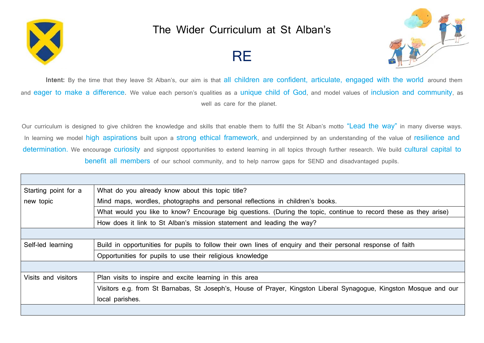

## The Wider Curriculum at St Alban's

## **RE**



Intent: By the time that they leave St Alban's, our aim is that all children are confident, articulate, engaged with the world around them and eager to make a difference. We value each person's qualities as a unique child of God, and model values of inclusion and community, as well as care for the planet.

Our curriculum is designed to give children the knowledge and skills that enable them to fulfil the St Alban's motto "Lead the way" in many diverse ways. In learning we model high aspirations built upon a strong ethical framework, and underpinned by an understanding of the value of resilience and determination. We encourage curiosity and signpost opportunities to extend learning in all topics through further research. We build cultural capital to benefit all members of our school community, and to help narrow gaps for SEND and disadvantaged pupils.

| Starting point for a | What do you already know about this topic title?                                                                  |
|----------------------|-------------------------------------------------------------------------------------------------------------------|
| new topic            | Mind maps, wordles, photographs and personal reflections in children's books.                                     |
|                      | What would you like to know? Encourage big questions. (During the topic, continue to record these as they arise)  |
|                      | How does it link to St Alban's mission statement and leading the way?                                             |
|                      |                                                                                                                   |
| Self-led learning    | Build in opportunities for pupils to follow their own lines of enquiry and their personal response of faith       |
|                      | Opportunities for pupils to use their religious knowledge                                                         |
|                      |                                                                                                                   |
| Visits and visitors  | Plan visits to inspire and excite learning in this area                                                           |
|                      | Visitors e.g. from St Barnabas, St Joseph's, House of Prayer, Kingston Liberal Synagogue, Kingston Mosque and our |
|                      | local parishes.                                                                                                   |
|                      |                                                                                                                   |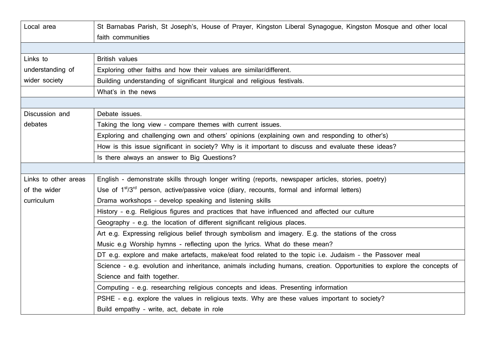| Local area           | St Barnabas Parish, St Joseph's, House of Prayer, Kingston Liberal Synagogue, Kingston Mosque and other local          |
|----------------------|------------------------------------------------------------------------------------------------------------------------|
|                      | faith communities                                                                                                      |
|                      |                                                                                                                        |
| Links to             | <b>British values</b>                                                                                                  |
| understanding of     | Exploring other faiths and how their values are similar/different.                                                     |
| wider society        | Building understanding of significant liturgical and religious festivals.                                              |
|                      | What's in the news                                                                                                     |
|                      |                                                                                                                        |
| Discussion and       | Debate issues.                                                                                                         |
| debates              | Taking the long view - compare themes with current issues.                                                             |
|                      | Exploring and challenging own and others' opinions (explaining own and responding to other's)                          |
|                      | How is this issue significant in society? Why is it important to discuss and evaluate these ideas?                     |
|                      | Is there always an answer to Big Questions?                                                                            |
|                      |                                                                                                                        |
| Links to other areas | English - demonstrate skills through longer writing (reports, newspaper articles, stories, poetry)                     |
| of the wider         | Use of 1 <sup>st</sup> /3 <sup>rd</sup> person, active/passive voice (diary, recounts, formal and informal letters)    |
| curriculum           | Drama workshops - develop speaking and listening skills                                                                |
|                      | History - e.g. Religious figures and practices that have influenced and affected our culture                           |
|                      | Geography - e.g. the location of different significant religious places.                                               |
|                      | Art e.g. Expressing religious belief through symbolism and imagery. E.g. the stations of the cross                     |
|                      | Music e.g Worship hymns - reflecting upon the lyrics. What do these mean?                                              |
|                      | DT e.g. explore and make artefacts, make/eat food related to the topic i.e. Judaism - the Passover meal                |
|                      | Science - e.g. evolution and inheritance, animals including humans, creation. Opportunities to explore the concepts of |
|                      | Science and faith together.                                                                                            |
|                      | Computing - e.g. researching religious concepts and ideas. Presenting information                                      |
|                      | PSHE - e.g. explore the values in religious texts. Why are these values important to society?                          |
|                      | Build empathy - write, act, debate in role                                                                             |